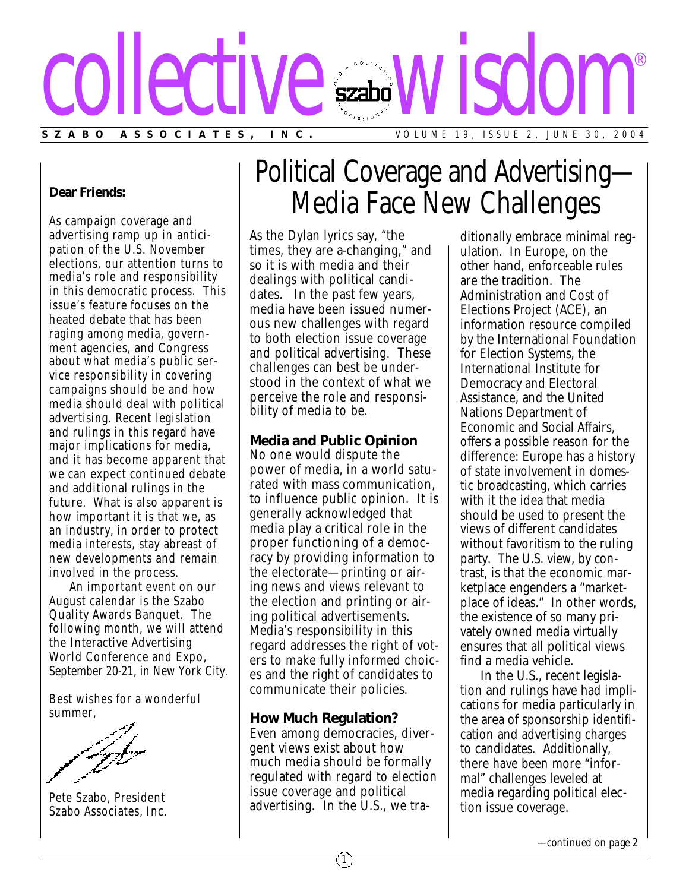

#### **Dear Friends:**

As campaign coverage and advertising ramp up in anticipation of the U.S. November elections, our attention turns to media's role and responsibility in this democratic process. This issue's feature focuses on the heated debate that has been raging among media, government agencies, and Congress about what media's public service responsibility in covering campaigns should be and how media should deal with political advertising. Recent legislation and rulings in this regard have major implications for media, and it has become apparent that we can expect continued debate and additional rulings in the future. What is also apparent is how important it is that we, as an industry, in order to protect media interests, stay abreast of new developments and remain involved in the process.

An important event on our August calendar is the Szabo Quality Awards Banquet. The following month, we will attend the Interactive Advertising World Conference and Expo, September 20-21, in New York City.

Best wishes for a wonderful summer,

Pete Szabo, President Szabo Associates, Inc.

# Political Coverage and Advertising— Media Face New Challenges

As the Dylan lyrics say, "the times, they are a-changing," and so it is with media and their dealings with political candidates. In the past few years, media have been issued numerous new challenges with regard to both election issue coverage and political advertising. These challenges can best be understood in the context of what we perceive the role and responsibility of media to be.

### **Media and Public Opinion**

No one would dispute the power of media, in a world saturated with mass communication, to influence public opinion. It is generally acknowledged that media play a critical role in the proper functioning of a democracy by providing information to the electorate—printing or airing news and views relevant to the election and printing or airing political advertisements. Media's responsibility in this regard addresses the right of voters to make fully informed choices and the right of candidates to communicate their policies.

### **How Much Regulation?**

Even among democracies, divergent views exist about how much media should be formally regulated with regard to election issue coverage and political advertising. In the U.S., we tra-

1

ditionally embrace minimal regulation. In Europe, on the other hand, enforceable rules are the tradition. The Administration and Cost of Elections Project (ACE), an information resource compiled by the International Foundation for Election Systems, the International Institute for Democracy and Electoral Assistance, and the United Nations Department of Economic and Social Affairs, offers a possible reason for the difference: Europe has a history of state involvement in domestic broadcasting, which carries with it the idea that media should be used to present the views of different candidates without favoritism to the ruling party. The U.S. view, by contrast, is that the economic marketplace engenders a "marketplace of ideas." In other words, the existence of so many privately owned media virtually ensures that all political views find a media vehicle.

In the U.S., recent legislation and rulings have had implications for media particularly in the area of sponsorship identification and advertising charges to candidates. Additionally, there have been more "informal" challenges leveled at media regarding political election issue coverage.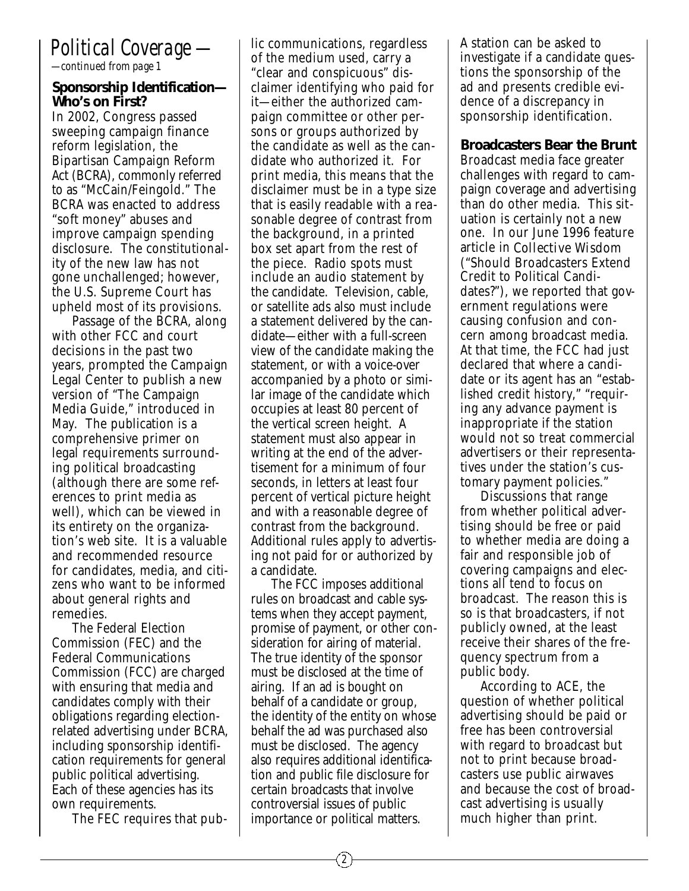### *Political Coverage —*

*—continued from page 1*

### **Sponsorship Identification— Who's on First?**

In 2002, Congress passed sweeping campaign finance reform legislation, the Bipartisan Campaign Reform Act (BCRA), commonly referred to as "McCain/Feingold." The BCRA was enacted to address "soft money" abuses and improve campaign spending disclosure. The constitutionality of the new law has not gone unchallenged; however, the U.S. Supreme Court has upheld most of its provisions.

Passage of the BCRA, along with other FCC and court decisions in the past two years, prompted the Campaign Legal Center to publish a new version of "The Campaign Media Guide," introduced in May. The publication is a comprehensive primer on legal requirements surrounding political broadcasting (although there are some references to print media as well), which can be viewed in its entirety on the organization's web site. It is a valuable and recommended resource for candidates, media, and citizens who want to be informed about general rights and remedies.

The Federal Election Commission (FEC) and the Federal Communications Commission (FCC) are charged with ensuring that media and candidates comply with their obligations regarding electionrelated advertising under BCRA, including sponsorship identification requirements for general public political advertising. Each of these agencies has its own requirements.

The FEC requires that pub-

lic communications, regardless of the medium used, carry a "clear and conspicuous" disclaimer identifying who paid for it—either the authorized campaign committee or other persons or groups authorized by the candidate as well as the candidate who authorized it. For print media, this means that the disclaimer must be in a type size that is easily readable with a reasonable degree of contrast from the background, in a printed box set apart from the rest of the piece. Radio spots must include an audio statement by the candidate. Television, cable, or satellite ads also must include a statement delivered by the candidate—either with a full-screen view of the candidate making the statement, or with a voice-over accompanied by a photo or similar image of the candidate which occupies at least 80 percent of the vertical screen height. A statement must also appear in writing at the end of the advertisement for a minimum of four seconds, in letters at least four percent of vertical picture height and with a reasonable degree of contrast from the background. Additional rules apply to advertising not paid for or authorized by a candidate.

The FCC imposes additional rules on broadcast and cable systems when they accept payment, promise of payment, or other consideration for airing of material. The true identity of the sponsor must be disclosed at the time of airing. If an ad is bought on behalf of a candidate or group, the identity of the entity on whose behalf the ad was purchased also must be disclosed. The agency also requires additional identification and public file disclosure for certain broadcasts that involve controversial issues of public importance or political matters.

A station can be asked to investigate if a candidate questions the sponsorship of the ad and presents credible evidence of a discrepancy in sponsorship identification.

**Broadcasters Bear the Brunt** Broadcast media face greater challenges with regard to campaign coverage and advertising than do other media. This situation is certainly not a new one. In our June 1996 feature article in *Collective Wisdom* ("Should Broadcasters Extend Credit to Political Candidates?"), we reported that government regulations were causing confusion and concern among broadcast media. At that time, the FCC had just declared that where a candidate or its agent has an "established credit history," "requiring any advance payment is inappropriate if the station would not so treat commercial advertisers or their representatives under the station's customary payment policies."

Discussions that range from whether political advertising should be free or paid to whether media are doing a fair and responsible job of covering campaigns and elections all tend to focus on broadcast. The reason this is so is that broadcasters, if not publicly owned, at the least receive their shares of the frequency spectrum from a public body.

According to ACE, the question of whether political advertising should be paid or free has been controversial with regard to broadcast but not to print because broadcasters use public airwaves and because the cost of broadcast advertising is usually much higher than print.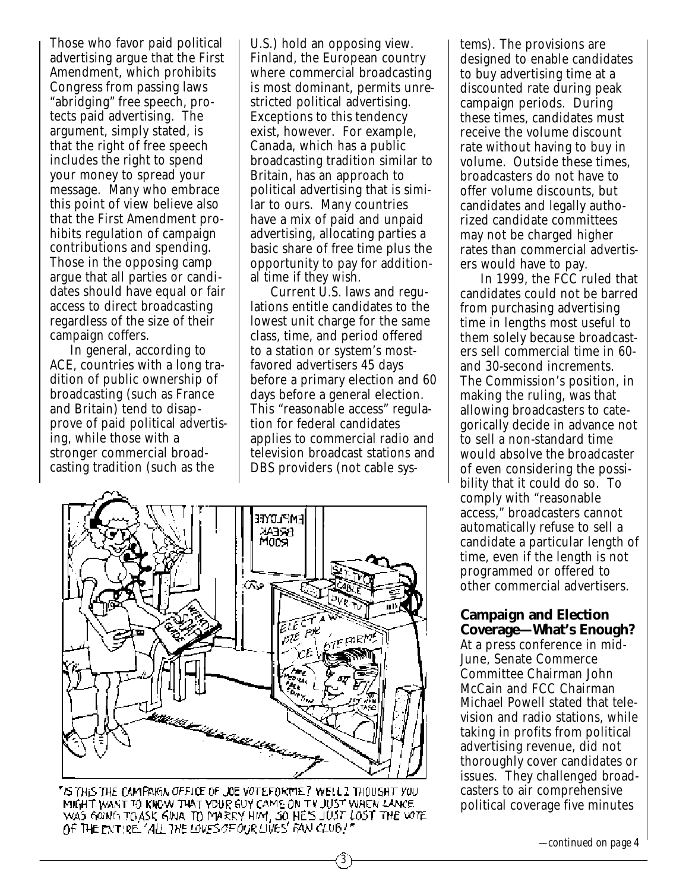Those who favor paid political advertising argue that the First Amendment, which prohibits Congress from passing laws "abridging" free speech, protects paid advertising. The argument, simply stated, is that the right of free speech includes the right to spend your money to spread your message. Many who embrace this point of view believe also that the First Amendment prohibits regulation of campaign contributions and spending. Those in the opposing camp argue that all parties or candidates should have equal or fair access to direct broadcasting regardless of the size of their campaign coffers.

In general, according to ACE, countries with a long tradition of public ownership of broadcasting (such as France and Britain) tend to disapprove of paid political advertising, while those with a stronger commercial broadcasting tradition (such as the

U.S.) hold an opposing view. Finland, the European country where commercial broadcasting is most dominant, permits unrestricted political advertising. Exceptions to this tendency exist, however. For example, Canada, which has a public broadcasting tradition similar to Britain, has an approach to political advertising that is similar to ours. Many countries have a mix of paid and unpaid advertising, allocating parties a basic share of free time plus the opportunity to pay for additional time if they wish.

Current U.S. laws and regulations entitle candidates to the lowest unit charge for the same class, time, and period offered to a station or system's mostfavored advertisers 45 days before a primary election and 60 days before a general election. This "reasonable access" regulation for federal candidates applies to commercial radio and television broadcast stations and DBS providers (not cable sys-

3



"IS THIS THE CAMPAIGN OFFICE OF JOE VOTEFORME? WELL I THOUGHT YOU MIGHT WANT TO KINOW THAT YOUR GUY CAME ON TV JUST WHEN LANCE. WAS GOING TO ASK GINA TO MARRY HIM, SO HE'S JUST LOST THE VOTE OF THE ENTIRE. ALL THE LOVES OF OUR LIVES FAN CLUB!"

tems). The provisions are designed to enable candidates to buy advertising time at a discounted rate during peak campaign periods. During these times, candidates must receive the volume discount rate without having to buy in volume. Outside these times, broadcasters do not have to offer volume discounts, but candidates and legally authorized candidate committees may not be charged higher rates than commercial advertisers would have to pay.

In 1999, the FCC ruled that candidates could not be barred from purchasing advertising time in lengths most useful to them solely because broadcasters sell commercial time in 60 and 30-second increments. The Commission's position, in making the ruling, was that allowing broadcasters to categorically decide in advance not to sell a non-standard time would absolve the broadcaster of even considering the possibility that it could do so. To comply with "reasonable access," broadcasters cannot automatically refuse to sell a candidate a particular length of time, even if the length is not programmed or offered to other commercial advertisers.

### **Campaign and Election Coverage—What's Enough?**

At a press conference in mid-June, Senate Commerce Committee Chairman John McCain and FCC Chairman Michael Powell stated that television and radio stations, while taking in profits from political advertising revenue, did not thoroughly cover candidates or issues. They challenged broadcasters to air comprehensive political coverage five minutes